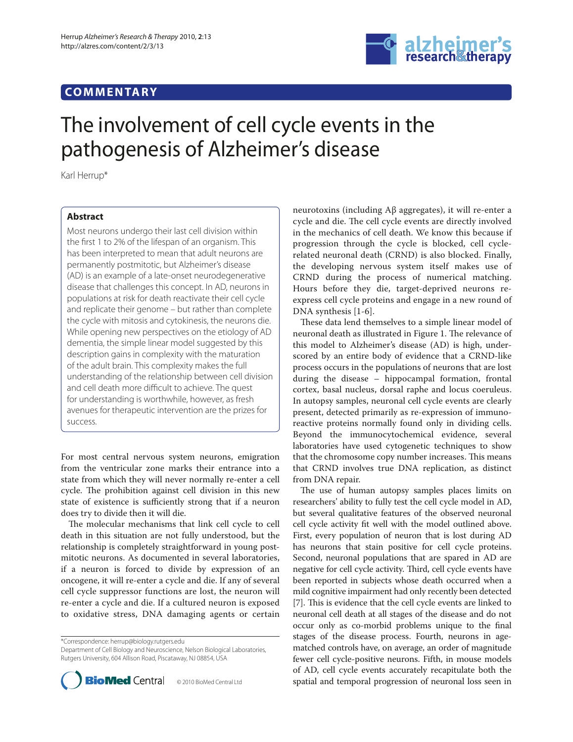## **COMMENTARY**



# The involvement of cell cycle events in the pathogenesis of Alzheimer's disease

Karl Herrup\*

### **Abstract**

Most neurons undergo their last cell division within the first 1 to 2% of the lifespan of an organism. This has been interpreted to mean that adult neurons are permanently postmitotic, but Alzheimer's disease (AD) is an example of a late-onset neurodegenerative disease that challenges this concept. In AD, neurons in populations at risk for death reactivate their cell cycle and replicate their genome – but rather than complete the cycle with mitosis and cytokinesis, the neurons die. While opening new perspectives on the etiology of AD dementia, the simple linear model suggested by this description gains in complexity with the maturation of the adult brain. This complexity makes the full understanding of the relationship between cell division and cell death more difficult to achieve. The quest for understanding is worthwhile, however, as fresh avenues for therapeutic intervention are the prizes for success.

For most central nervous system neurons, emigration from the ventricular zone marks their entrance into a state from which they will never normally re-enter a cell cycle. The prohibition against cell division in this new state of existence is sufficiently strong that if a neuron does try to divide then it will die.

The molecular mechanisms that link cell cycle to cell death in this situation are not fully understood, but the relationship is completely straightforward in young postmitotic neurons. As documented in several laboratories, if a neuron is forced to divide by expression of an oncogene, it will re-enter a cycle and die. If any of several cell cycle suppressor functions are lost, the neuron will re-enter a cycle and die. If a cultured neuron is exposed to oxidative stress, DNA damaging agents or certain

\*Correspondence: herrup@biology.rutgers.edu

Department of Cell Biology and Neuroscience, Nelson Biological Laboratories, Rutgers University, 604 Allison Road, Piscataway, NJ 08854, USA



neurotoxins (including Aβ aggregates), it will re-enter a cycle and die. The cell cycle events are directly involved in the mechanics of cell death. We know this because if progression through the cycle is blocked, cell cyclerelated neuronal death (CRND) is also blocked. Finally, the developing nervous system itself makes use of CRND during the process of numerical matching. Hours before they die, target-deprived neurons reexpress cell cycle proteins and engage in a new round of DNA synthesis [1-6].

These data lend themselves to a simple linear model of neuronal death as illustrated in Figure 1. The relevance of this model to Alzheimer's disease (AD) is high, underscored by an entire body of evidence that a CRND-like process occurs in the populations of neurons that are lost during the disease – hippocampal formation, frontal cortex, basal nucleus, dorsal raphe and locus coeruleus. In autopsy samples, neuronal cell cycle events are clearly present, detected primarily as re-expression of immunoreactive proteins normally found only in dividing cells. Beyond the immunocytochemical evidence, several laboratories have used cytogenetic techniques to show that the chromosome copy number increases. This means that CRND involves true DNA replication, as distinct from DNA repair.

The use of human autopsy samples places limits on researchers' ability to fully test the cell cycle model in AD, but several qualitative features of the observed neuronal cell cycle activity fit well with the model outlined above. First, every population of neuron that is lost during AD has neurons that stain positive for cell cycle proteins. Second, neuronal populations that are spared in AD are negative for cell cycle activity. Third, cell cycle events have been reported in subjects whose death occurred when a mild cognitive impairment had only recently been detected [7]. This is evidence that the cell cycle events are linked to neuronal cell death at all stages of the disease and do not occur only as co-morbid problems unique to the final stages of the disease process. Fourth, neurons in agematched controls have, on average, an order of magnitude fewer cell cycle-positive neurons. Fifth, in mouse models of AD, cell cycle events accurately recapitulate both the spatial and temporal progression of neuronal loss seen in